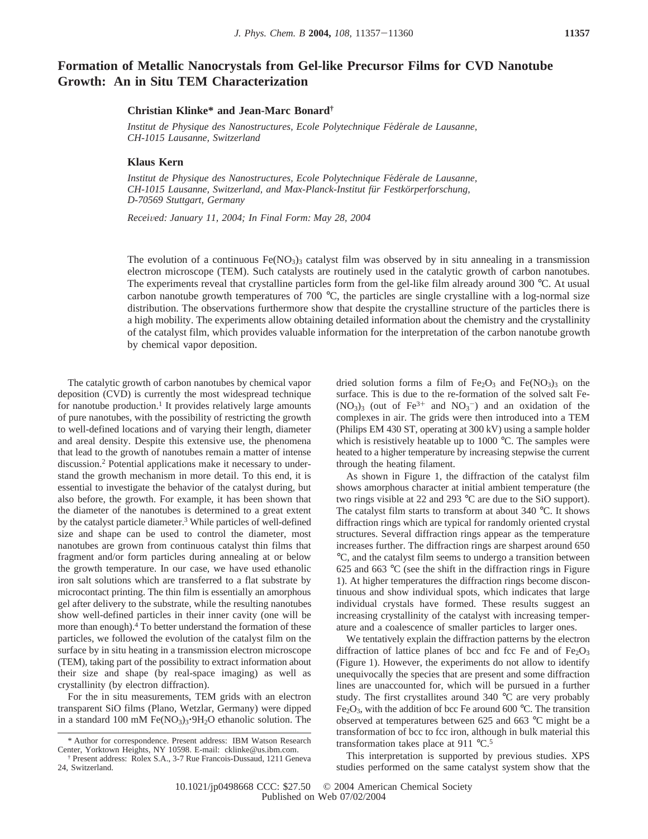## **Formation of Metallic Nanocrystals from Gel-like Precursor Films for CVD Nanotube Growth: An in Situ TEM Characterization**

## **Christian Klinke\* and Jean-Marc Bonard†**

*Institut de Physique des Nanostructures, Ecole Polytechnique Fe*´*de*´*rale de Lausanne, CH-1015 Lausanne, Switzerland*

## **Klaus Kern**

*Institut de Physique des Nanostructures, Ecole Polytechnique Fe*´*de*´*rale de Lausanne, CH-1015 Lausanne, Switzerland, and Max-Planck-Institut fu¨r Festko¨rperforschung, D-70569 Stuttgart, Germany*

*Recei*V*ed: January 11, 2004; In Final Form: May 28, 2004*

The evolution of a continuous  $Fe(NO<sub>3</sub>)<sub>3</sub>$  catalyst film was observed by in situ annealing in a transmission electron microscope (TEM). Such catalysts are routinely used in the catalytic growth of carbon nanotubes. The experiments reveal that crystalline particles form from the gel-like film already around 300 °C. At usual carbon nanotube growth temperatures of 700 °C, the particles are single crystalline with a log-normal size distribution. The observations furthermore show that despite the crystalline structure of the particles there is a high mobility. The experiments allow obtaining detailed information about the chemistry and the crystallinity of the catalyst film, which provides valuable information for the interpretation of the carbon nanotube growth by chemical vapor deposition.

The catalytic growth of carbon nanotubes by chemical vapor deposition (CVD) is currently the most widespread technique for nanotube production.<sup>1</sup> It provides relatively large amounts of pure nanotubes, with the possibility of restricting the growth to well-defined locations and of varying their length, diameter and areal density. Despite this extensive use, the phenomena that lead to the growth of nanotubes remain a matter of intense discussion.2 Potential applications make it necessary to understand the growth mechanism in more detail. To this end, it is essential to investigate the behavior of the catalyst during, but also before, the growth. For example, it has been shown that the diameter of the nanotubes is determined to a great extent by the catalyst particle diameter.<sup>3</sup> While particles of well-defined size and shape can be used to control the diameter, most nanotubes are grown from continuous catalyst thin films that fragment and/or form particles during annealing at or below the growth temperature. In our case, we have used ethanolic iron salt solutions which are transferred to a flat substrate by microcontact printing. The thin film is essentially an amorphous gel after delivery to the substrate, while the resulting nanotubes show well-defined particles in their inner cavity (one will be more than enough).4 To better understand the formation of these particles, we followed the evolution of the catalyst film on the surface by in situ heating in a transmission electron microscope (TEM), taking part of the possibility to extract information about their size and shape (by real-space imaging) as well as crystallinity (by electron diffraction).

For the in situ measurements, TEM grids with an electron transparent SiO films (Plano, Wetzlar, Germany) were dipped in a standard 100 mM  $Fe(NO<sub>3</sub>)<sub>3</sub>·9H<sub>2</sub>O$  ethanolic solution. The

dried solution forms a film of  $Fe<sub>2</sub>O<sub>3</sub>$  and  $Fe(NO<sub>3</sub>)<sub>3</sub>$  on the surface. This is due to the re-formation of the solved salt Fe-  $(NO<sub>3</sub>)<sub>3</sub>$  (out of Fe<sup>3+</sup> and NO<sub>3</sub><sup>-</sup>) and an oxidation of the complexes in air. The grids were then introduced into a TEM (Philips EM 430 ST, operating at 300 kV) using a sample holder which is resistively heatable up to 1000 °C. The samples were heated to a higher temperature by increasing stepwise the current through the heating filament.

As shown in Figure 1, the diffraction of the catalyst film shows amorphous character at initial ambient temperature (the two rings visible at 22 and 293 °C are due to the SiO support). The catalyst film starts to transform at about 340 °C. It shows diffraction rings which are typical for randomly oriented crystal structures. Several diffraction rings appear as the temperature increases further. The diffraction rings are sharpest around 650 °C, and the catalyst film seems to undergo a transition between 625 and 663 °C (see the shift in the diffraction rings in Figure 1). At higher temperatures the diffraction rings become discontinuous and show individual spots, which indicates that large individual crystals have formed. These results suggest an increasing crystallinity of the catalyst with increasing temperature and a coalescence of smaller particles to larger ones.

We tentatively explain the diffraction patterns by the electron diffraction of lattice planes of bcc and fcc Fe and of  $Fe<sub>2</sub>O<sub>3</sub>$ (Figure 1). However, the experiments do not allow to identify unequivocally the species that are present and some diffraction lines are unaccounted for, which will be pursued in a further study. The first crystallites around 340 °C are very probably Fe<sub>2</sub>O<sub>3</sub>, with the addition of bcc Fe around 600 °C. The transition observed at temperatures between 625 and 663 °C might be a transformation of bcc to fcc iron, although in bulk material this transformation takes place at 911 °C.5

This interpretation is supported by previous studies. XPS studies performed on the same catalyst system show that the

<sup>\*</sup> Author for correspondence. Present address: IBM Watson Research Center, Yorktown Heights, NY 10598. E-mail: cklinke@us.ibm.com.

<sup>†</sup> Present address: Rolex S.A., 3-7 Rue Francois-Dussaud, 1211 Geneva 24, Switzerland.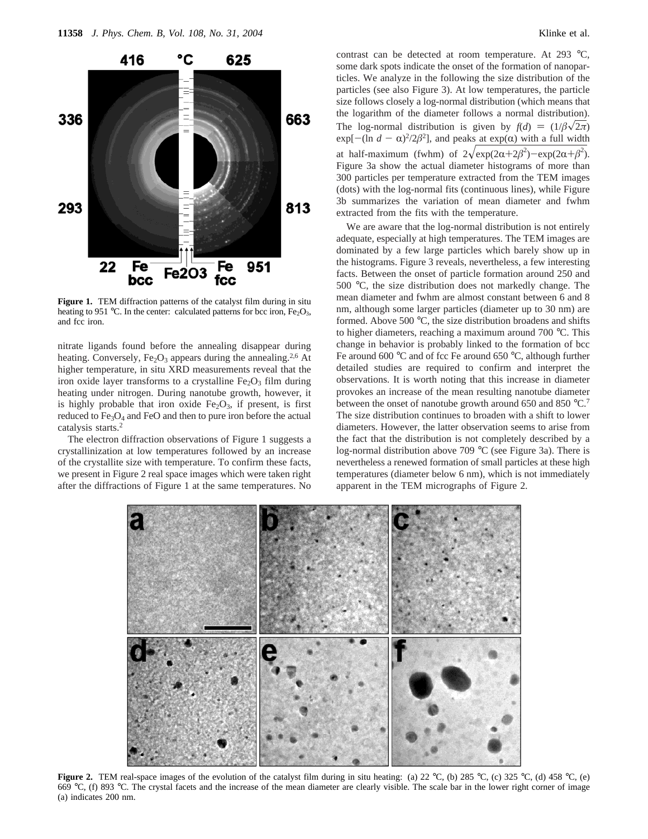

**Figure 1.** TEM diffraction patterns of the catalyst film during in situ heating to 951 °C. In the center: calculated patterns for bcc iron,  $Fe<sub>2</sub>O<sub>3</sub>$ , and fcc iron.

nitrate ligands found before the annealing disappear during heating. Conversely,  $Fe<sub>2</sub>O<sub>3</sub>$  appears during the annealing.<sup>2,6</sup> At higher temperature, in situ XRD measurements reveal that the iron oxide layer transforms to a crystalline  $Fe<sub>2</sub>O<sub>3</sub>$  film during heating under nitrogen. During nanotube growth, however, it is highly probable that iron oxide  $Fe<sub>2</sub>O<sub>3</sub>$ , if present, is first reduced to Fe3O4 and FeO and then to pure iron before the actual catalysis starts.2

The electron diffraction observations of Figure 1 suggests a crystallinization at low temperatures followed by an increase of the crystallite size with temperature. To confirm these facts, we present in Figure 2 real space images which were taken right after the diffractions of Figure 1 at the same temperatures. No

contrast can be detected at room temperature. At 293 °C, some dark spots indicate the onset of the formation of nanoparticles. We analyze in the following the size distribution of the particles (see also Figure 3). At low temperatures, the particle size follows closely a log-normal distribution (which means that the logarithm of the diameter follows a normal distribution). The log-normal distribution is given by  $f(d) = (1/\beta\sqrt{2\pi})$  $\exp[-(\ln d - \alpha)^2/2\beta^2]$ , and peaks at  $\exp(\alpha)$  with a full width

at half-maximum (fwhm) of  $2\sqrt{\exp(2\alpha+2\beta^2)}-\exp(2\alpha+\beta^2)$ .<br>Figure 3a show the actual diameter histograms of more than Figure 3a show the actual diameter histograms of more than 300 particles per temperature extracted from the TEM images (dots) with the log-normal fits (continuous lines), while Figure 3b summarizes the variation of mean diameter and fwhm extracted from the fits with the temperature.

We are aware that the log-normal distribution is not entirely adequate, especially at high temperatures. The TEM images are dominated by a few large particles which barely show up in the histograms. Figure 3 reveals, nevertheless, a few interesting facts. Between the onset of particle formation around 250 and 500 °C, the size distribution does not markedly change. The mean diameter and fwhm are almost constant between 6 and 8 nm, although some larger particles (diameter up to 30 nm) are formed. Above 500 °C, the size distribution broadens and shifts to higher diameters, reaching a maximum around 700 °C. This change in behavior is probably linked to the formation of bcc Fe around 600 °C and of fcc Fe around 650 °C, although further detailed studies are required to confirm and interpret the observations. It is worth noting that this increase in diameter provokes an increase of the mean resulting nanotube diameter between the onset of nanotube growth around 650 and 850 °C.<sup>7</sup> The size distribution continues to broaden with a shift to lower diameters. However, the latter observation seems to arise from the fact that the distribution is not completely described by a log-normal distribution above 709 °C (see Figure 3a). There is nevertheless a renewed formation of small particles at these high temperatures (diameter below 6 nm), which is not immediately apparent in the TEM micrographs of Figure 2.



**Figure 2.** TEM real-space images of the evolution of the catalyst film during in situ heating: (a) 22 °C, (b) 285 °C, (c) 325 °C, (d) 458 °C, (e) 669 °C, (f) 893 °C. The crystal facets and the increase of the mean diameter are clearly visible. The scale bar in the lower right corner of image (a) indicates 200 nm.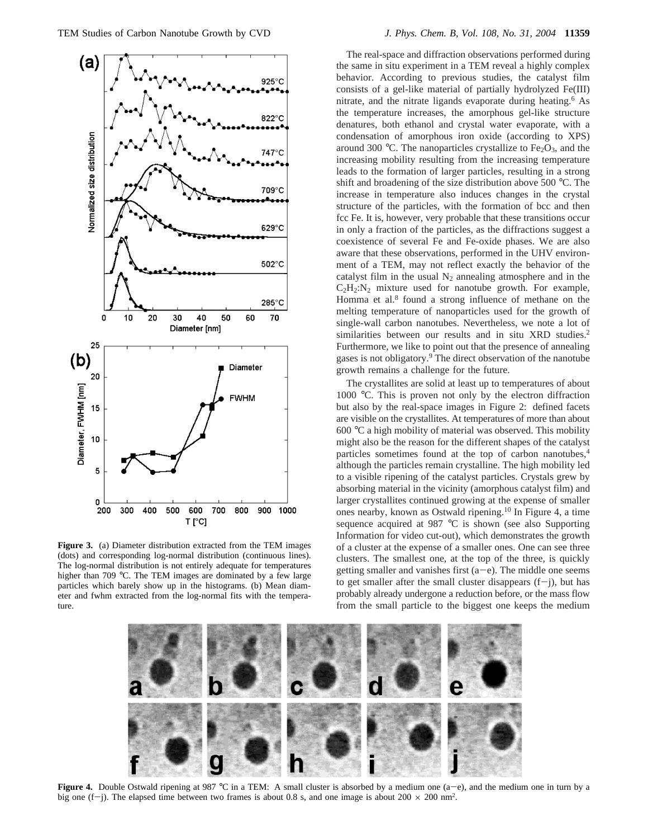

**Figure 3.** (a) Diameter distribution extracted from the TEM images (dots) and corresponding log-normal distribution (continuous lines). The log-normal distribution is not entirely adequate for temperatures higher than 709 °C. The TEM images are dominated by a few large particles which barely show up in the histograms. (b) Mean diameter and fwhm extracted from the log-normal fits with the temperature.

The real-space and diffraction observations performed during the same in situ experiment in a TEM reveal a highly complex behavior. According to previous studies, the catalyst film consists of a gel-like material of partially hydrolyzed Fe(III) nitrate, and the nitrate ligands evaporate during heating.6 As the temperature increases, the amorphous gel-like structure denatures, both ethanol and crystal water evaporate, with a condensation of amorphous iron oxide (according to XPS) around 300 °C. The nanoparticles crystallize to  $Fe<sub>2</sub>O<sub>3</sub>$ , and the increasing mobility resulting from the increasing temperature leads to the formation of larger particles, resulting in a strong shift and broadening of the size distribution above 500 °C. The increase in temperature also induces changes in the crystal structure of the particles, with the formation of bcc and then fcc Fe. It is, however, very probable that these transitions occur in only a fraction of the particles, as the diffractions suggest a coexistence of several Fe and Fe-oxide phases. We are also aware that these observations, performed in the UHV environment of a TEM, may not reflect exactly the behavior of the catalyst film in the usual  $N_2$  annealing atmosphere and in the  $C_2H_2:N_2$  mixture used for nanotube growth. For example, Homma et al.<sup>8</sup> found a strong influence of methane on the melting temperature of nanoparticles used for the growth of single-wall carbon nanotubes. Nevertheless, we note a lot of similarities between our results and in situ XRD studies.<sup>2</sup> Furthermore, we like to point out that the presence of annealing gases is not obligatory.9 The direct observation of the nanotube growth remains a challenge for the future.

The crystallites are solid at least up to temperatures of about 1000 °C. This is proven not only by the electron diffraction but also by the real-space images in Figure 2: defined facets are visible on the crystallites. At temperatures of more than about 600 °C a high mobility of material was observed. This mobility might also be the reason for the different shapes of the catalyst particles sometimes found at the top of carbon nanotubes,<sup>4</sup> although the particles remain crystalline. The high mobility led to a visible ripening of the catalyst particles. Crystals grew by absorbing material in the vicinity (amorphous catalyst film) and larger crystallites continued growing at the expense of smaller ones nearby, known as Ostwald ripening.10 In Figure 4, a time sequence acquired at 987 °C is shown (see also Supporting Information for video cut-out), which demonstrates the growth of a cluster at the expense of a smaller ones. One can see three clusters. The smallest one, at the top of the three, is quickly getting smaller and vanishes first  $(a-e)$ . The middle one seems to get smaller after the small cluster disappears  $(f-j)$ , but has probably already undergone a reduction before, or the mass flow from the small particle to the biggest one keeps the medium



**Figure 4.** Double Ostwald ripening at 987 °C in a TEM: A small cluster is absorbed by a medium one (a-e), and the medium one in turn by a big one (f-j). The elapsed time between two frames is about 0.8 s, and one image is about  $200 \times 200$  nm<sup>2</sup>.